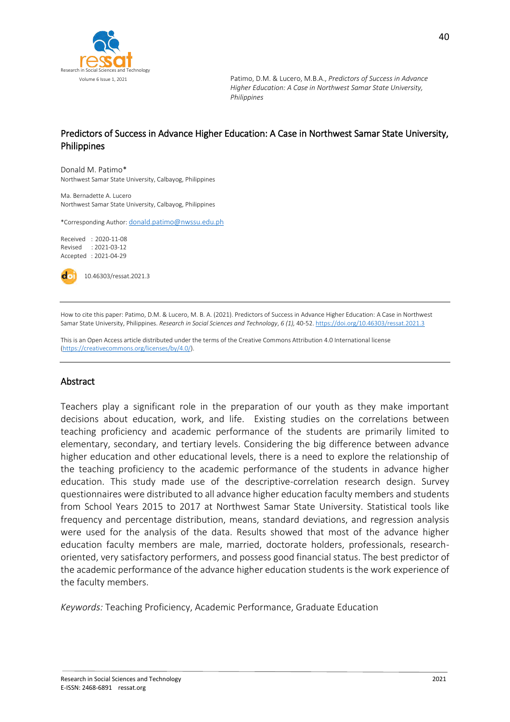

# Predictors of Success in Advance Higher Education: A Case in Northwest Samar State University, Philippines

Donald M. Patimo\* Northwest Samar State University, Calbayog, Philippines

Ma. Bernadette A. Lucero Northwest Samar State University, Calbayog, Philippines

\*Corresponding Author: [donald.patimo@nwssu.edu.ph](mailto:donald.patimo@nwssu.edu.ph)

Received : 2020-11-08 Revised : 2021-03-12 Accepted : 2021-04-29



10.46303/ressat.2021.3

How to cite this paper: Patimo, D.M. & Lucero, M. B. A. (2021). Predictors of Success in Advance Higher Education: A Case in Northwest Samar State University, Philippines. *Research in Social Sciences and Technology*, *6 (1),* 40-52[. https://doi.org/10.46303/ressat.2021.3](https://doi.org/10.46303/ressat.2021.3) 

This is an Open Access article distributed under the terms of the Creative Commons Attribution 4.0 International license [\(https://creativecommons.org/licenses/by/4.0/\).](https://creativecommons.org/licenses/by/4.0/)

### Abstract

Teachers play a significant role in the preparation of our youth as they make important decisions about education, work, and life. Existing studies on the correlations between teaching proficiency and academic performance of the students are primarily limited to elementary, secondary, and tertiary levels. Considering the big difference between advance higher education and other educational levels, there is a need to explore the relationship of the teaching proficiency to the academic performance of the students in advance higher education. This study made use of the descriptive-correlation research design. Survey questionnaires were distributed to all advance higher education faculty members and students from School Years 2015 to 2017 at Northwest Samar State University. Statistical tools like frequency and percentage distribution, means, standard deviations, and regression analysis were used for the analysis of the data. Results showed that most of the advance higher education faculty members are male, married, doctorate holders, professionals, researchoriented, very satisfactory performers, and possess good financial status. The best predictor of the academic performance of the advance higher education students is the work experience of the faculty members.

*Keywords:* Teaching Proficiency, Academic Performance, Graduate Education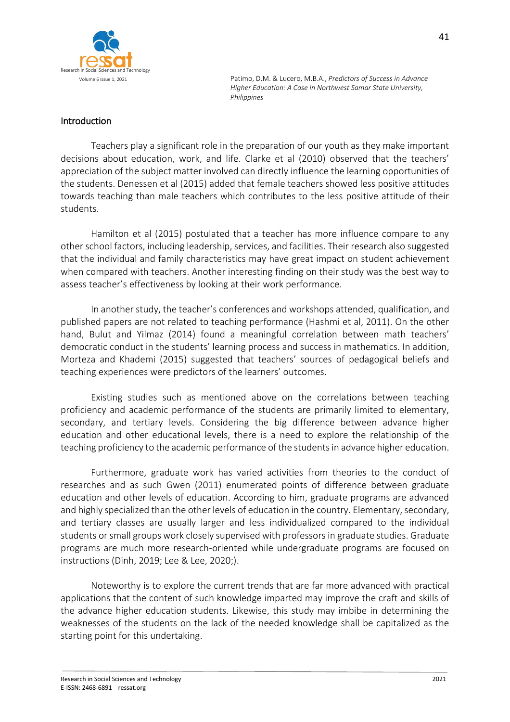

# Introduction

Teachers play a significant role in the preparation of our youth as they make important decisions about education, work, and life. Clarke et al (2010) observed that the teachers' appreciation of the subject matter involved can directly influence the learning opportunities of the students. Denessen et al (2015) added that female teachers showed less positive attitudes towards teaching than male teachers which contributes to the less positive attitude of their students.

Hamilton et al (2015) postulated that a teacher has more influence compare to any other school factors, including leadership, services, and facilities. Their research also suggested that the individual and family characteristics may have great impact on student achievement when compared with teachers. Another interesting finding on their study was the best way to assess teacher's effectiveness by looking at their work performance.

In another study, the teacher's conferences and workshops attended, qualification, and published papers are not related to teaching performance (Hashmi et al, 2011). On the other hand, Bulut and Yilmaz (2014) found a meaningful correlation between math teachers' democratic conduct in the students' learning process and success in mathematics. In addition, Morteza and Khademi (2015) suggested that teachers' sources of pedagogical beliefs and teaching experiences were predictors of the learners' outcomes.

Existing studies such as mentioned above on the correlations between teaching proficiency and academic performance of the students are primarily limited to elementary, secondary, and tertiary levels. Considering the big difference between advance higher education and other educational levels, there is a need to explore the relationship of the teaching proficiency to the academic performance of the students in advance higher education.

Furthermore, graduate work has varied activities from theories to the conduct of researches and as such Gwen (2011) enumerated points of difference between graduate education and other levels of education. According to him, graduate programs are advanced and highly specialized than the other levels of education in the country. Elementary, secondary, and tertiary classes are usually larger and less individualized compared to the individual students or small groups work closely supervised with professors in graduate studies. Graduate programs are much more research-oriented while undergraduate programs are focused on instructions (Dinh, 2019; Lee & Lee, 2020;).

Noteworthy is to explore the current trends that are far more advanced with practical applications that the content of such knowledge imparted may improve the craft and skills of the advance higher education students. Likewise, this study may imbibe in determining the weaknesses of the students on the lack of the needed knowledge shall be capitalized as the starting point for this undertaking.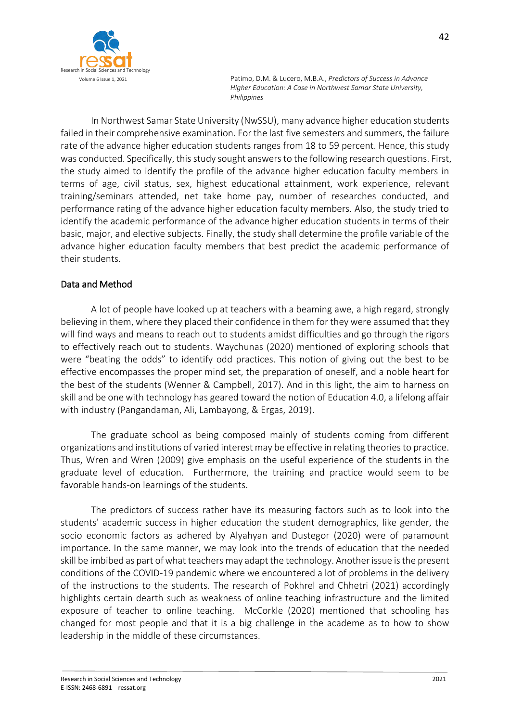

In Northwest Samar State University (NwSSU), many advance higher education students failed in their comprehensive examination. For the last five semesters and summers, the failure rate of the advance higher education students ranges from 18 to 59 percent. Hence, this study was conducted. Specifically, this study sought answers to the following research questions. First, the study aimed to identify the profile of the advance higher education faculty members in terms of age, civil status, sex, highest educational attainment, work experience, relevant training/seminars attended, net take home pay, number of researches conducted, and performance rating of the advance higher education faculty members. Also, the study tried to identify the academic performance of the advance higher education students in terms of their basic, major, and elective subjects. Finally, the study shall determine the profile variable of the advance higher education faculty members that best predict the academic performance of their students.

# Data and Method

A lot of people have looked up at teachers with a beaming awe, a high regard, strongly believing in them, where they placed their confidence in them for they were assumed that they will find ways and means to reach out to students amidst difficulties and go through the rigors to effectively reach out to students. Waychunas (2020) mentioned of exploring schools that were "beating the odds" to identify odd practices. This notion of giving out the best to be effective encompasses the proper mind set, the preparation of oneself, and a noble heart for the best of the students (Wenner & Campbell, 2017). And in this light, the aim to harness on skill and be one with technology has geared toward the notion of Education 4.0, a lifelong affair with industry (Pangandaman, Ali, Lambayong, & Ergas, 2019).

The graduate school as being composed mainly of students coming from different organizations and institutions of varied interest may be effective in relating theories to practice. Thus, Wren and Wren (2009) give emphasis on the useful experience of the students in the graduate level of education. Furthermore, the training and practice would seem to be favorable hands-on learnings of the students.

The predictors of success rather have its measuring factors such as to look into the students' academic success in higher education the student demographics, like gender, the socio economic factors as adhered by Alyahyan and Dustegor (2020) were of paramount importance. In the same manner, we may look into the trends of education that the needed skill be imbibed as part of what teachers may adapt the technology. Another issue is the present conditions of the COVID-19 pandemic where we encountered a lot of problems in the delivery of the instructions to the students. The research of Pokhrel and Chhetri (2021) accordingly highlights certain dearth such as weakness of online teaching infrastructure and the limited exposure of teacher to online teaching. McCorkle (2020) mentioned that schooling has changed for most people and that it is a big challenge in the academe as to how to show leadership in the middle of these circumstances.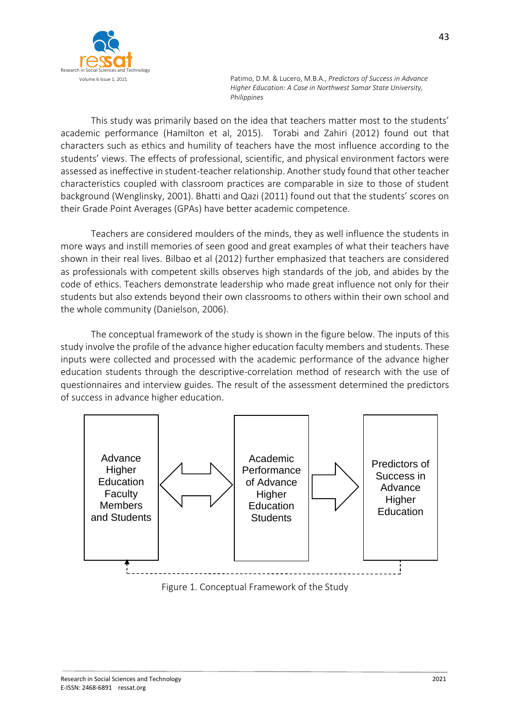

This study was primarily based on the idea that teachers matter most to the students' academic performance (Hamilton et al, 2015). Torabi and Zahiri (2012) found out that characters such as ethics and humility of teachers have the most influence according to the students' views. The effects of professional, scientific, and physical environment factors were assessed as ineffective in student-teacher relationship. Another study found that other teacher characteristics coupled with classroom practices are comparable in size to those of student background (Wenglinsky, 2001). Bhatti and Qazi (2011) found out that the students' scores on their Grade Point Averages (GPAs) have better academic competence.

Teachers are considered moulders of the minds, they as well influence the students in more ways and instill memories of seen good and great examples of what their teachers have shown in their real lives. Bilbao et al (2012) further emphasized that teachers are considered as professionals with competent skills observes high standards of the job, and abides by the code of ethics. Teachers demonstrate leadership who made great influence not only for their students but also extends beyond their own classrooms to others within their own school and the whole community (Danielson, 2006).

The conceptual framework of the study is shown in the figure below. The inputs of this study involve the profile of the advance higher education faculty members and students. These inputs were collected and processed with the academic performance of the advance higher education students through the descriptive-correlation method of research with the use of questionnaires and interview guides. The result of the assessment determined the predictors of success in advance higher education.



Figure 1. Conceptual Framework of the Study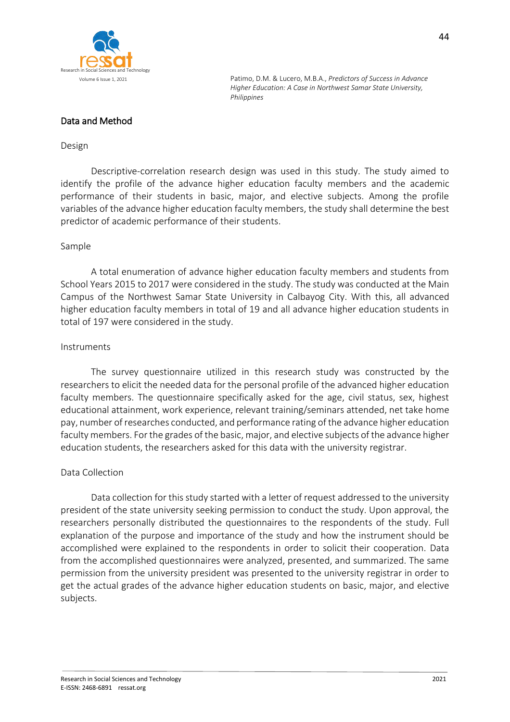

# Data and Method

#### Design

Descriptive-correlation research design was used in this study. The study aimed to identify the profile of the advance higher education faculty members and the academic performance of their students in basic, major, and elective subjects. Among the profile variables of the advance higher education faculty members, the study shall determine the best predictor of academic performance of their students.

#### Sample

A total enumeration of advance higher education faculty members and students from School Years 2015 to 2017 were considered in the study. The study was conducted at the Main Campus of the Northwest Samar State University in Calbayog City. With this, all advanced higher education faculty members in total of 19 and all advance higher education students in total of 197 were considered in the study.

#### Instruments

The survey questionnaire utilized in this research study was constructed by the researchers to elicit the needed data for the personal profile of the advanced higher education faculty members. The questionnaire specifically asked for the age, civil status, sex, highest educational attainment, work experience, relevant training/seminars attended, net take home pay, number of researches conducted, and performance rating of the advance higher education faculty members. For the grades of the basic, major, and elective subjects of the advance higher education students, the researchers asked for this data with the university registrar.

### Data Collection

Data collection for this study started with a letter of request addressed to the university president of the state university seeking permission to conduct the study. Upon approval, the researchers personally distributed the questionnaires to the respondents of the study. Full explanation of the purpose and importance of the study and how the instrument should be accomplished were explained to the respondents in order to solicit their cooperation. Data from the accomplished questionnaires were analyzed, presented, and summarized. The same permission from the university president was presented to the university registrar in order to get the actual grades of the advance higher education students on basic, major, and elective subjects.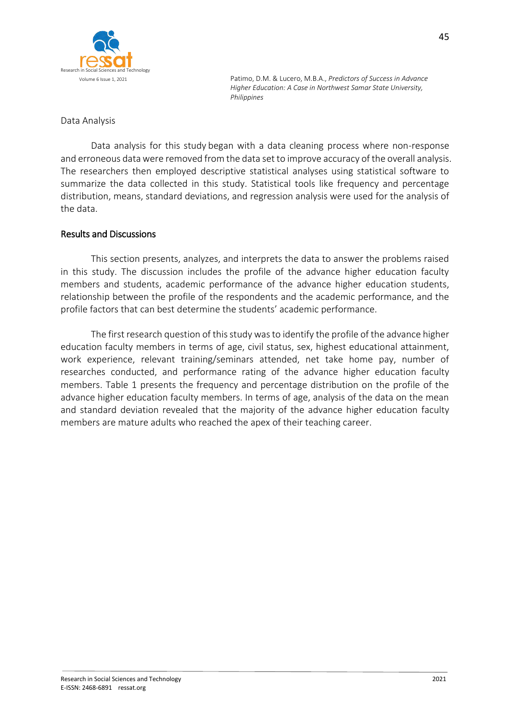

### Data Analysis

Data analysis for this study began with a data cleaning process where non-response and erroneous data were removed from the data set to improve accuracy of the overall analysis. The researchers then employed descriptive statistical analyses using statistical software to summarize the data collected in this study. Statistical tools like frequency and percentage distribution, means, standard deviations, and regression analysis were used for the analysis of the data.

### Results and Discussions

This section presents, analyzes, and interprets the data to answer the problems raised in this study. The discussion includes the profile of the advance higher education faculty members and students, academic performance of the advance higher education students, relationship between the profile of the respondents and the academic performance, and the profile factors that can best determine the students' academic performance.

The first research question of this study was to identify the profile of the advance higher education faculty members in terms of age, civil status, sex, highest educational attainment, work experience, relevant training/seminars attended, net take home pay, number of researches conducted, and performance rating of the advance higher education faculty members. Table 1 presents the frequency and percentage distribution on the profile of the advance higher education faculty members. In terms of age, analysis of the data on the mean and standard deviation revealed that the majority of the advance higher education faculty members are mature adults who reached the apex of their teaching career.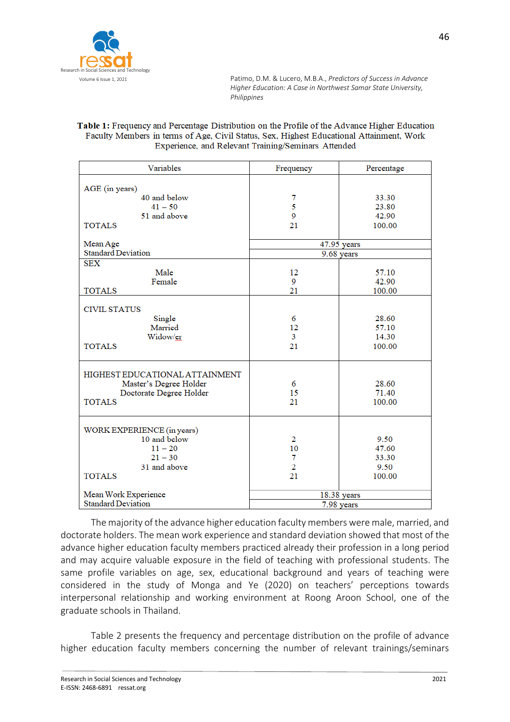

#### Table 1: Frequency and Percentage Distribution on the Profile of the Advance Higher Education Faculty Members in terms of Age, Civil Status, Sex, Highest Educational Attainment, Work Experience, and Relevant Training/Seminars Attended

| Variables                      | Frequency      | Percentage |  |
|--------------------------------|----------------|------------|--|
| AGE (in years)                 |                |            |  |
| 40 and below                   | 7              | 33.30      |  |
| $41 - 50$                      | 5              | 23.80      |  |
| 51 and above                   | 9              | 42.90      |  |
| <b>TOTALS</b>                  | 21             | 100.00     |  |
|                                |                |            |  |
| Mean Age                       | 47.95 years    |            |  |
| <b>Standard Deviation</b>      | 9.68 years     |            |  |
| <b>SEX</b>                     |                |            |  |
| Male                           | 12             | 57.10      |  |
| Female                         | 9              | 42.90      |  |
| <b>TOTALS</b>                  | 21             | 100.00     |  |
|                                |                |            |  |
| <b>CIVIL STATUS</b>            |                |            |  |
| Single                         | 6              | 28.60      |  |
| Married                        | 12             | 57.10      |  |
| Widow/er                       | 3              | 14.30      |  |
| <b>TOTALS</b>                  | 21             | 100.00     |  |
| HIGHEST EDUCATIONAL ATTAINMENT |                |            |  |
| Master's Degree Holder         | 6              | 28.60      |  |
| Doctorate Degree Holder        | 15             | 71.40      |  |
| <b>TOTALS</b>                  | 21             | 100.00     |  |
|                                |                |            |  |
| WORK EXPERIENCE (in years)     |                |            |  |
| 10 and below                   | 2              | 9.50       |  |
| $11 - 20$                      | 10             | 47.60      |  |
| $21 - 30$                      | 7              | 33.30      |  |
| 31 and above                   | $\overline{2}$ | 9.50       |  |
| <b>TOTALS</b>                  | 21             | 100.00     |  |
|                                |                |            |  |
| Mean Work Experience           | 18.38 years    |            |  |
| <b>Standard Deviation</b>      | 7.98 years     |            |  |

The majority of the advance higher education faculty members were male, married, and doctorate holders. The mean work experience and standard deviation showed that most of the advance higher education faculty members practiced already their profession in a long period and may acquire valuable exposure in the field of teaching with professional students. The same profile variables on age, sex, educational background and years of teaching were considered in the study of Monga and Ye (2020) on teachers' perceptions towards interpersonal relationship and working environment at Roong Aroon School, one of the graduate schools in Thailand.

Table 2 presents the frequency and percentage distribution on the profile of advance higher education faculty members concerning the number of relevant trainings/seminars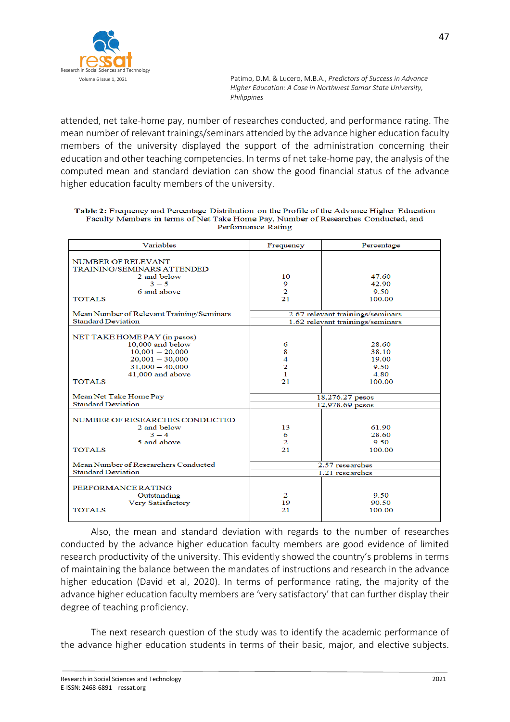

attended, net take-home pay, number of researches conducted, and performance rating. The mean number of relevant trainings/seminars attended by the advance higher education faculty members of the university displayed the support of the administration concerning their education and other teaching competencies. In terms of net take-home pay, the analysis of the computed mean and standard deviation can show the good financial status of the advance higher education faculty members of the university.

| Table 2: Frequency and Percentage Distribution on the Profile of the Advance Higher Education |
|-----------------------------------------------------------------------------------------------|
| Faculty Members in terms of Net Take Home Pay, Number of Researches Conducted, and            |
| Performance Rating                                                                            |

| Variables                                 | Frequency                        | Percentage |  |
|-------------------------------------------|----------------------------------|------------|--|
|                                           |                                  |            |  |
| <b>NUMBER OF RELEVANT</b>                 |                                  |            |  |
| TRAINING/SEMINARS ATTENDED<br>2 and below | 10                               | 47.60      |  |
| $3 - 5$                                   | 9                                | 42.90      |  |
| 6 and above                               | $\overline{2}$                   | 9.50       |  |
| <b>TOTALS</b>                             | 21                               | 100.00     |  |
|                                           |                                  |            |  |
| Mean Number of Relevant Training/Seminars | 2.67 relevant trainings/seminars |            |  |
| <b>Standard Deviation</b>                 | 1.62 relevant trainings/seminars |            |  |
|                                           |                                  |            |  |
| NET TAKE HOME PAY (in pesos)              |                                  |            |  |
| 10,000 and below                          | 6                                | 28.60      |  |
| $10,001 - 20,000$                         | 8                                | 38.10      |  |
| $20,001 - 30,000$                         | 4                                | 19.00      |  |
| $31,000 - 40,000$                         | $\overline{c}$                   | 9.50       |  |
| 41,000 and above                          | 1                                | 4.80       |  |
| <b>TOTALS</b>                             | 21                               | 100.00     |  |
| Mean Net Take Home Pay                    | 18,276.27 pesos                  |            |  |
| <b>Standard Deviation</b>                 | 12,978.69 pesos                  |            |  |
|                                           |                                  |            |  |
| NUMBER OF RESEARCHES CONDUCTED            |                                  |            |  |
| 2 and below                               | 13                               | 61.90      |  |
| $3 - 4$                                   | 6                                | 28.60      |  |
| 5 and above                               | $\overline{2}$                   | 9.50       |  |
| <b>TOTALS</b>                             | 21                               | 100.00     |  |
|                                           |                                  |            |  |
| Mean Number of Researchers Conducted      | 2.57 researches                  |            |  |
| <b>Standard Deviation</b>                 | 1.21 researches                  |            |  |
|                                           |                                  |            |  |
| PERFORMANCE RATING                        |                                  |            |  |
| Outstanding                               | 2                                | 9.50       |  |
| Very Satisfactory                         | 19                               | 90.50      |  |
| <b>TOTALS</b>                             | 21                               | 100.00     |  |
|                                           |                                  |            |  |

Also, the mean and standard deviation with regards to the number of researches conducted by the advance higher education faculty members are good evidence of limited research productivity of the university. This evidently showed the country's problems in terms of maintaining the balance between the mandates of instructions and research in the advance higher education (David et al, 2020). In terms of performance rating, the majority of the advance higher education faculty members are 'very satisfactory' that can further display their degree of teaching proficiency.

The next research question of the study was to identify the academic performance of the advance higher education students in terms of their basic, major, and elective subjects.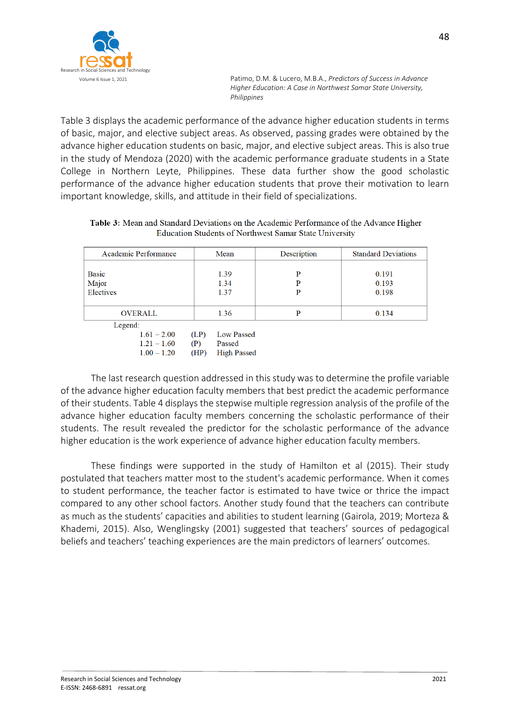

Table 3 displays the academic performance of the advance higher education students in terms of basic, major, and elective subject areas. As observed, passing grades were obtained by the advance higher education students on basic, major, and elective subject areas. This is also true in the study of Mendoza (2020) with the academic performance graduate students in a State College in Northern Leyte, Philippines. These data further show the good scholastic performance of the advance higher education students that prove their motivation to learn important knowledge, skills, and attitude in their field of specializations.

| Table 3: Mean and Standard Deviations on the Academic Performance of the Advance Higher |
|-----------------------------------------------------------------------------------------|
| <b>Education Students of Northwest Samar State University</b>                           |

| Academic Performance                      | Mean                                       | Description | <b>Standard Deviations</b> |
|-------------------------------------------|--------------------------------------------|-------------|----------------------------|
| <b>Basic</b><br>Major<br>Electives        | 1.39<br>1.34<br>1.37                       | P<br>P<br>P | 0.191<br>0.193<br>0.198    |
| <b>OVERALL</b>                            | 1.36                                       | P           | 0.134                      |
| Legend:<br>$1.61 - 2.00$<br>$1.21 - 1.60$ | <b>Low Passed</b><br>(LP)<br>(P)<br>Passed |             |                            |

(HP) High Passed

The last research question addressed in this study was to determine the profile variable of the advance higher education faculty members that best predict the academic performance of their students. Table 4 displays the stepwise multiple regression analysis of the profile of the advance higher education faculty members concerning the scholastic performance of their students. The result revealed the predictor for the scholastic performance of the advance higher education is the work experience of advance higher education faculty members.

These findings were supported in the study of Hamilton et al (2015). Their study postulated that teachers matter most to the student's academic performance. When it comes to student performance, the teacher factor is estimated to have twice or thrice the impact compared to any other school factors. Another study found that the teachers can contribute as much as the students' capacities and abilities to student learning (Gairola, 2019; Morteza & Khademi, 2015). Also, Wenglingsky (2001) suggested that teachers' sources of pedagogical beliefs and teachers' teaching experiences are the main predictors of learners' outcomes.

 $1.00 - 1.20$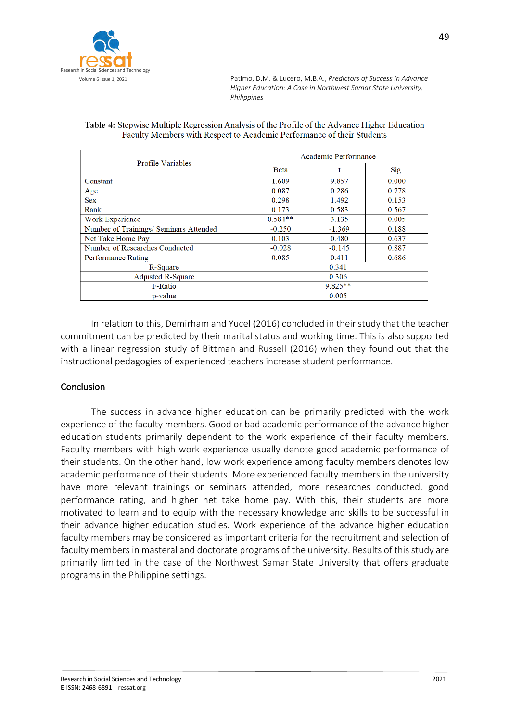

| Table 4: Stepwise Multiple Regression Analysis of the Profile of the Advance Higher Education |
|-----------------------------------------------------------------------------------------------|
| Faculty Members with Respect to Academic Performance of their Students                        |

| Profile Variables                      | Academic Performance |          |       |
|----------------------------------------|----------------------|----------|-------|
|                                        | <b>Beta</b>          |          | Sig.  |
| Constant                               | 1.609                | 9.857    | 0.000 |
| Age                                    | 0.087                | 0.286    | 0.778 |
| <b>Sex</b>                             | 0.298                | 1.492    | 0.153 |
| Rank                                   | 0.173                | 0.583    | 0.567 |
| Work Experience                        | $0.584**$            | 3.135    | 0.005 |
| Number of Trainings/ Seminars Attended | $-0.250$             | $-1.369$ | 0.188 |
| Net Take Home Pay                      | 0.103                | 0.480    | 0.637 |
| Number of Researches Conducted         | $-0.028$             | $-0.145$ | 0.887 |
| <b>Performance Rating</b>              | 0.085                | 0.411    | 0.686 |
| R-Square                               | 0.341                |          |       |
| <b>Adjusted R-Square</b>               | 0.306                |          |       |
| <b>F-Ratio</b>                         | $9.825**$            |          |       |
| p-value                                | 0.005                |          |       |

In relation to this, Demirham and Yucel (2016) concluded in their study that the teacher commitment can be predicted by their marital status and working time. This is also supported with a linear regression study of Bittman and Russell (2016) when they found out that the instructional pedagogies of experienced teachers increase student performance.

### Conclusion

The success in advance higher education can be primarily predicted with the work experience of the faculty members. Good or bad academic performance of the advance higher education students primarily dependent to the work experience of their faculty members. Faculty members with high work experience usually denote good academic performance of their students. On the other hand, low work experience among faculty members denotes low academic performance of their students. More experienced faculty members in the university have more relevant trainings or seminars attended, more researches conducted, good performance rating, and higher net take home pay. With this, their students are more motivated to learn and to equip with the necessary knowledge and skills to be successful in their advance higher education studies. Work experience of the advance higher education faculty members may be considered as important criteria for the recruitment and selection of faculty members in masteral and doctorate programs of the university. Results of this study are primarily limited in the case of the Northwest Samar State University that offers graduate programs in the Philippine settings.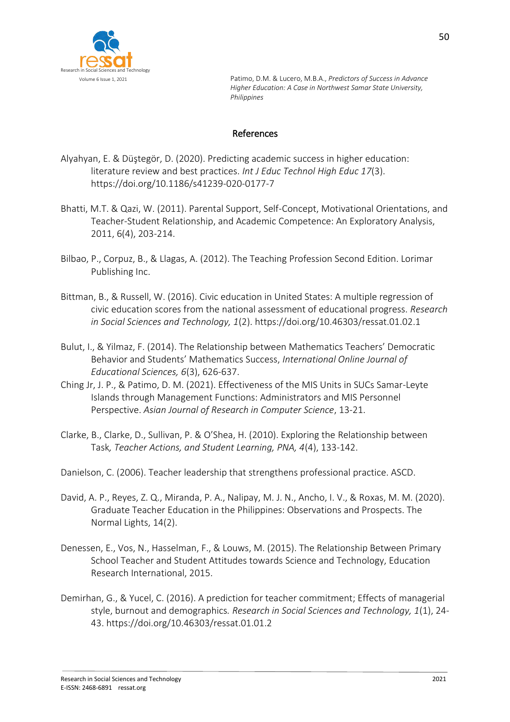

# References

- Alyahyan, E. & Düştegör, D. (2020). Predicting academic success in higher education: literature review and best practices. *Int J Educ Technol High Educ 17*(3). https://doi.org/10.1186/s41239-020-0177-7
- Bhatti, M.T. & Qazi, W. (2011). Parental Support, Self-Concept, Motivational Orientations, and Teacher-Student Relationship, and Academic Competence: An Exploratory Analysis, 2011, 6(4), 203-214.
- Bilbao, P., Corpuz, B., & Llagas, A. (2012). The Teaching Profession Second Edition. Lorimar Publishing Inc.
- Bittman, B., & Russell, W. (2016). Civic education in United States: A multiple regression of civic education scores from the national assessment of educational progress. *Research in Social Sciences and Technology, 1*(2). https://doi.org/10.46303/ressat.01.02.1
- Bulut, I., & Yilmaz, F. (2014). The Relationship between Mathematics Teachers' Democratic Behavior and Students' Mathematics Success, *International Online Journal of Educational Sciences, 6*(3), 626-637.
- Ching Jr, J. P., & Patimo, D. M. (2021). Effectiveness of the MIS Units in SUCs Samar-Leyte Islands through Management Functions: Administrators and MIS Personnel Perspective. *Asian Journal of Research in Computer Science*, 13-21.
- Clarke, B., Clarke, D., Sullivan, P. & O'Shea, H. (2010). Exploring the Relationship between Task*, Teacher Actions, and Student Learning, PNA, 4*(4), 133-142.
- Danielson, C. (2006). Teacher leadership that strengthens professional practice. ASCD.
- David, A. P., Reyes, Z. Q., Miranda, P. A., Nalipay, M. J. N., Ancho, I. V., & Roxas, M. M. (2020). Graduate Teacher Education in the Philippines: Observations and Prospects. The Normal Lights, 14(2).
- Denessen, E., Vos, N., Hasselman, F., & Louws, M. (2015). The Relationship Between Primary School Teacher and Student Attitudes towards Science and Technology, Education Research International, 2015.
- Demirhan, G., & Yucel, C. (2016). A prediction for teacher commitment; Effects of managerial style, burnout and demographics*. Research in Social Sciences and Technology, 1*(1), 24- 43. https://doi.org/10.46303/ressat.01.01.2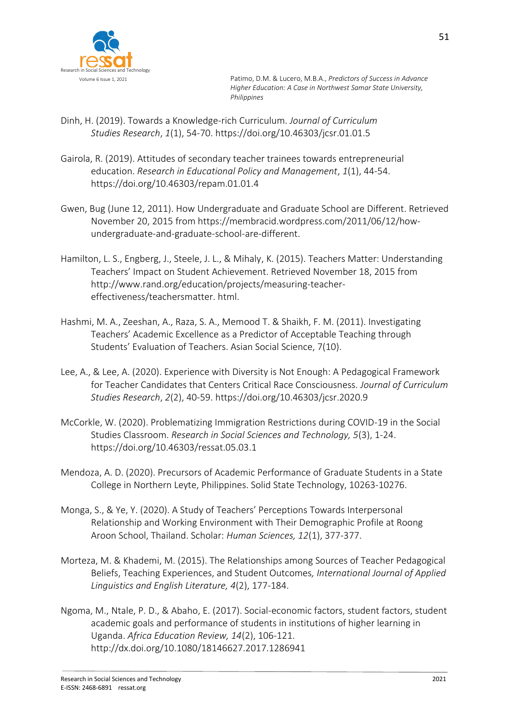

- Dinh, H. (2019). Towards a Knowledge-rich Curriculum. *Journal of Curriculum Studies Research*, *1*(1), 54-70. https://doi.org/10.46303/jcsr.01.01.5
- Gairola, R. (2019). Attitudes of secondary teacher trainees towards entrepreneurial education. *Research in Educational Policy and Management*, *1*(1), 44-54. https://doi.org/10.46303/repam.01.01.4
- Gwen, Bug (June 12, 2011). How Undergraduate and Graduate School are Different. Retrieved November 20, 2015 from https://membracid.wordpress.com/2011/06/12/howundergraduate-and-graduate-school-are-different.
- Hamilton, L. S., Engberg, J., Steele, J. L., & Mihaly, K. (2015). Teachers Matter: Understanding Teachers' Impact on Student Achievement. Retrieved November 18, 2015 from http://www.rand.org/education/projects/measuring-teachereffectiveness/teachersmatter. html.
- Hashmi, M. A., Zeeshan, A., Raza, S. A., Memood T. & Shaikh, F. M. (2011). Investigating Teachers' Academic Excellence as a Predictor of Acceptable Teaching through Students' Evaluation of Teachers. Asian Social Science, 7(10).
- Lee, A., & Lee, A. (2020). Experience with Diversity is Not Enough: A Pedagogical Framework for Teacher Candidates that Centers Critical Race Consciousness. *Journal of Curriculum Studies Research*, *2*(2), 40-59. https://doi.org/10.46303/jcsr.2020.9
- McCorkle, W. (2020). Problematizing Immigration Restrictions during COVID-19 in the Social Studies Classroom. *Research in Social Sciences and Technology, 5*(3), 1-24. https://doi.org/10.46303/ressat.05.03.1
- Mendoza, A. D. (2020). Precursors of Academic Performance of Graduate Students in a State College in Northern Leyte, Philippines. Solid State Technology, 10263-10276.
- Monga, S., & Ye, Y. (2020). A Study of Teachers' Perceptions Towards Interpersonal Relationship and Working Environment with Their Demographic Profile at Roong Aroon School, Thailand. Scholar: *Human Sciences, 12*(1), 377-377.
- Morteza, M. & Khademi, M. (2015). The Relationships among Sources of Teacher Pedagogical Beliefs, Teaching Experiences, and Student Outcomes*, International Journal of Applied Linguistics and English Literature, 4*(2), 177-184.
- Ngoma, M., Ntale, P. D., & Abaho, E. (2017). Social-economic factors, student factors, student academic goals and performance of students in institutions of higher learning in Uganda. *Africa Education Review, 14*(2), 106-121. http://dx.doi.org/10.1080/18146627.2017.1286941